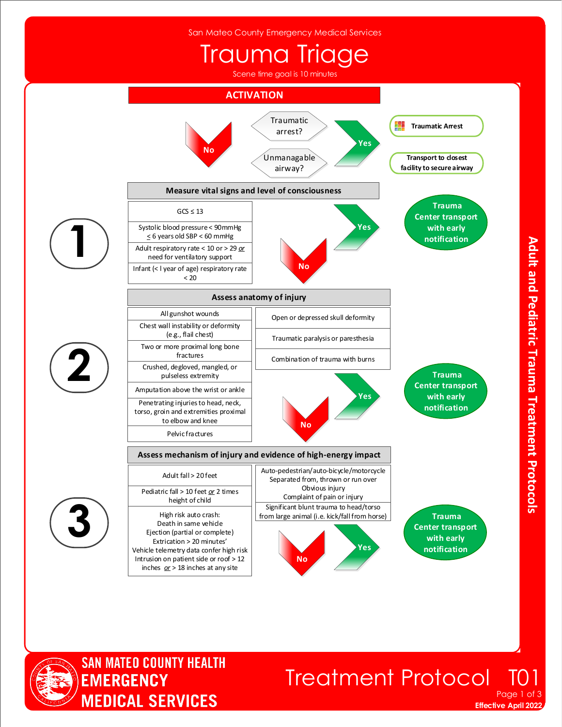San Mateo County Emergency Medical Services

## Trauma Triage

Scene time goal is 10 minutes





### **Treatment Protocol** Page 1 of 3

**Effective April 2022**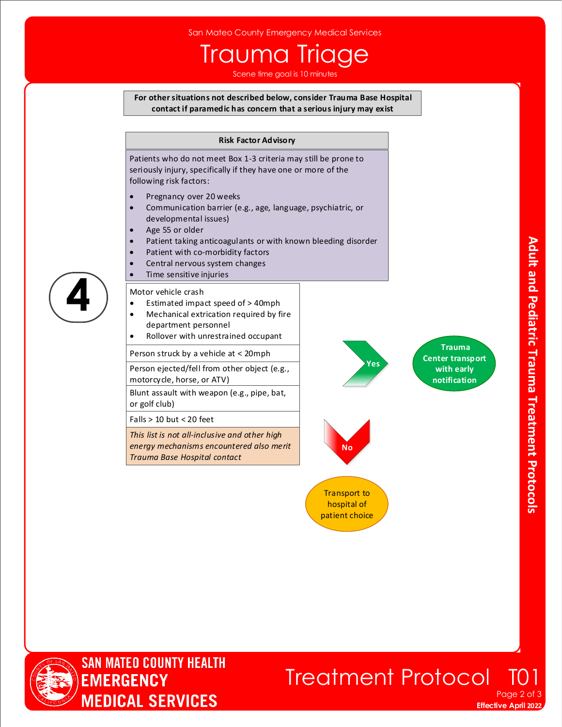# Trauma Triage

Scene time goal is 10 minutes

#### **For other situations not described below, consider Trauma Base Hospital contact if paramedic has concern that a serious injury may exist**

#### **Risk Factor Advisory**

Patients who do not meet Box 1-3 criteria may still be prone to seriously injury, specifically if they have one or more of the following risk factors:

- Pregnancy over 20 weeks
- Communication barrier (e.g., age, language, psychiatric, or developmental issues)
- Age 55 or older
- Patient taking anticoagulants or with known bleeding disorder
- Patient with co-morbidity factors
- Central nervous system changes
- Time sensitive injuries

#### Motor vehicle crash

- Estimated impact speed of > 40mph
- Mechanical extrication required by fire department personnel
- Rollover with unrestrained occupant

Person struck by a vehicle at < 20mph

Person ejected/fell from other object (e.g., motorcycle, horse, or ATV)

Blunt assault with weapon (e.g., pipe, bat, or golf club)

Falls > 10 but < 20 feet

*This list is not all-inclusive and other high energy mechanisms encountered also merit Trauma Base Hospital contact*

**Trauma Center transport with early notification**



 **Yes**

Transport to hospital of patient choice



**4**

**SAN MATEO COUNTY HEALTH EMERGENCY MEDICAL SERVICES**